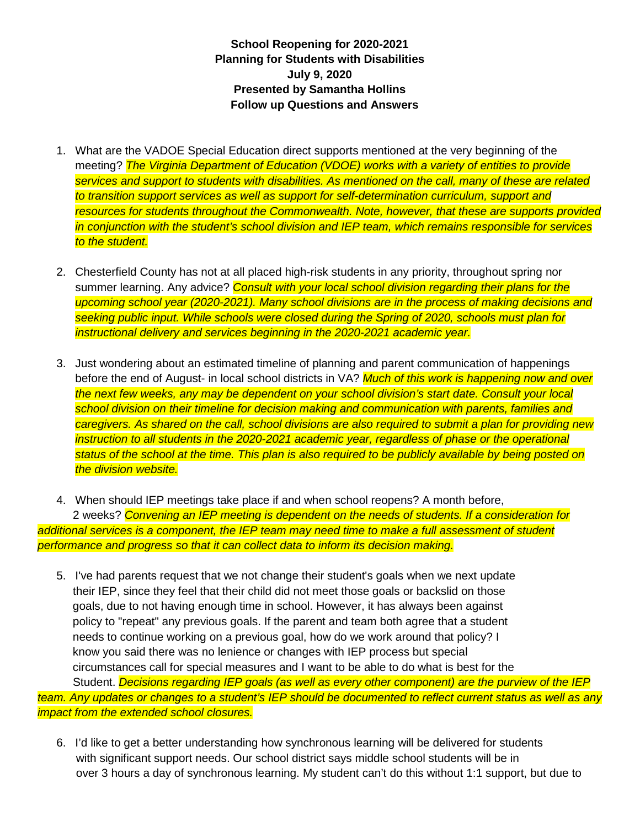**School Reopening for 2020-2021 Planning for Students with Disabilities July 9, 2020 Presented by Samantha Hollins Follow up Questions and Answers** 

- 1. What are the VADOE Special Education direct supports mentioned at the very beginning of the meeting? *The Virginia Department of Education (VDOE) works with a variety of entities to provide services and support to students with disabilities. As mentioned on the call, many of these are related to transition support services as well as support for self-determination curriculum, support and resources for students throughout the Commonwealth. Note, however, that these are supports provided in conjunction with the student's school division and IEP team, which remains responsible for services to the student.*
- 2. Chesterfield County has not at all placed high-risk students in any priority, throughout spring nor summer learning. Any advice? *Consult with your local school division regarding their plans for the upcoming school year (2020-2021). Many school divisions are in the process of making decisions and seeking public input. While schools were closed during the Spring of 2020, schools must plan for instructional delivery and services beginning in the 2020-2021 academic year.*
- 3. Just wondering about an estimated timeline of planning and parent communication of happenings before the end of August- in local school districts in VA? *Much of this work is happening now and over the next few weeks, any may be dependent on your school division's start date. Consult your local school division on their timeline for decision making and communication with parents, families and caregivers. As shared on the call, school divisions are also required to submit a plan for providing new instruction to all students in the 2020-2021 academic year, regardless of phase or the operational status of the school at the time. This plan is also required to be publicly available by being posted on the division website.*

4. When should IEP meetings take place if and when school reopens? A month before, 2 weeks? *Convening an IEP meeting is dependent on the needs of students. If a consideration for*  additional services is a component, the IEP team may need time to make a full assessment of student *performance and progress so that it can collect data to inform its decision making.* 

- 5. I've had parents request that we not change their student's goals when we next update their IEP, since they feel that their child did not meet those goals or backslid on those goals, due to not having enough time in school. However, it has always been against policy to "repeat" any previous goals. If the parent and team both agree that a student needs to continue working on a previous goal, how do we work around that policy? I know you said there was no lenience or changes with IEP process but special circumstances call for special measures and I want to be able to do what is best for the Student. *Decisions regarding IEP goals (as well as every other component) are the purview of the IEP team. Any updates or changes to a student's IEP should be documented to reflect current status as well as any impact from the extended school closures.* 
	- 6. I'd like to get a better understanding how synchronous learning will be delivered for students with significant support needs. Our school district says middle school students will be in over 3 hours a day of synchronous learning. My student can't do this without 1:1 support, but due to